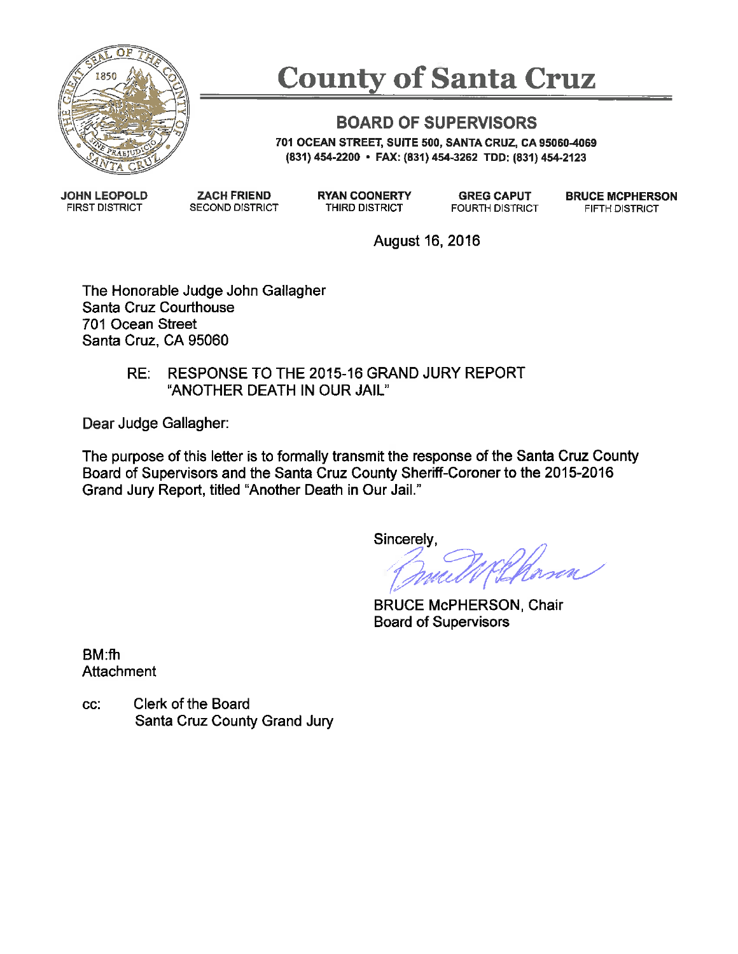

# **County of Santa Cruz**

#### **BOARD OF SUPERVISORS**

701 OCEAN STREET, SUITE 500, SANTA CRUZ, CA 95060-4069 (831) 454-2200 • FAX: (831) 454-3262 TDD: (831) 454-2123

**JOHN LEOPOLD FIRST DISTRICT** 

**ZACH FRIEND SECOND DISTRICT**  **RYAN COONERTY** THIRD DISTRICT

**GREG CAPUT FOURTH DISTRICT**  **BRUCE MCPHERSON** FIFTH DISTRICT

August 16, 2016

The Honorable Judge John Gallagher Santa Cruz Courthouse 701 Ocean Street Santa Cruz. CA 95060

#### RESPONSE TO THE 2015-16 GRAND JURY REPORT RE: "ANOTHER DEATH IN OUR JAIL"

Dear Judge Gallagher:

The purpose of this letter is to formally transmit the response of the Santa Cruz County Board of Supervisors and the Santa Cruz County Sheriff-Coroner to the 2015-2016 Grand Jury Report, titled "Another Death in Our Jail."

Sincerely,

**BRUCE McPHERSON, Chair Board of Supervisors** 

**BM:fh** Attachment

Clerk of the Board CC: Santa Cruz County Grand Jury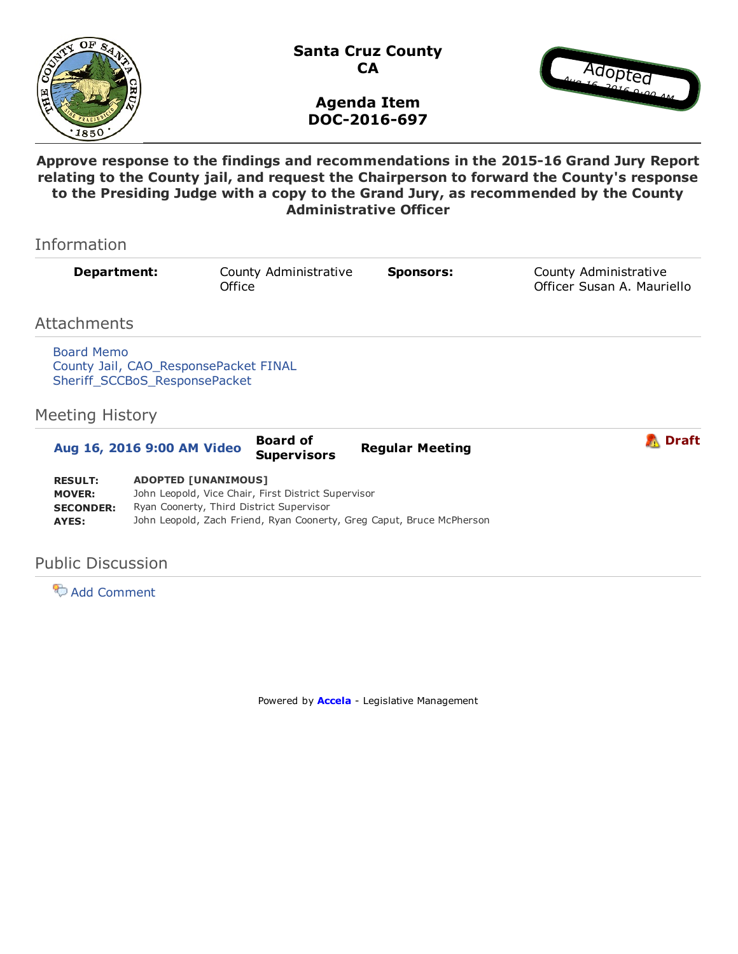



Agenda Item DOC-2016-697

Approve response to the findings and recommendations in the 2015-16 Grand Jury Report relating to the County jail, and request the Chairperson to forward the County's response to the Presiding Judge with a copy to the Grand Jury, as recommended by the County Administrative Officer

| Information                                         |                                                                                                                               |                       |                        |                                                     |
|-----------------------------------------------------|-------------------------------------------------------------------------------------------------------------------------------|-----------------------|------------------------|-----------------------------------------------------|
| Department:                                         | Office                                                                                                                        | County Administrative | <b>Sponsors:</b>       | County Administrative<br>Officer Susan A. Mauriello |
| Attachments                                         |                                                                                                                               |                       |                        |                                                     |
| Board Memo<br><b>Meeting History</b>                | County Jail, CAO_ResponsePacket FINAL<br>Sheriff_SCCBoS_ResponsePacket                                                        |                       |                        |                                                     |
|                                                     |                                                                                                                               | <b>Board of</b>       |                        | Draft                                               |
| Aug 16, 2016 9:00 AM Video                          |                                                                                                                               | <b>Supervisors</b>    | <b>Regular Meeting</b> |                                                     |
| <b>RESULT:</b><br><b>MOVER:</b><br><b>SECONDER:</b> | <b>ADOPTED [UNANIMOUS]</b><br>John Leopold, Vice Chair, First District Supervisor<br>Ryan Coonerty, Third District Supervisor |                       |                        |                                                     |

AYES: John Leopold, Zach Friend, Ryan Coonerty, Greg Caput, Bruce McPherson

#### Public Discussion

**Add Comment** 

Powered by **[Accela](http://www.iqm2.com/)** - Legislative Management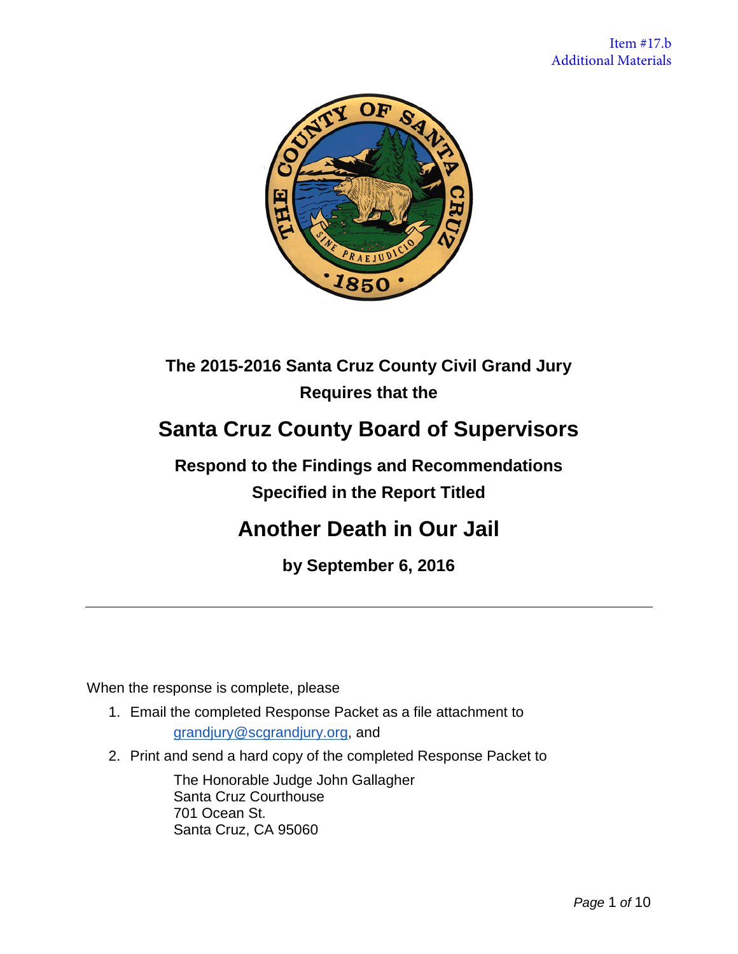

### **The 2015-2016 Santa Cruz County Civil Grand Jury Requires that the**

## **Santa Cruz County Board of Supervisors**

### **Respond to the Findings and Recommendations Specified in the Report Titled**

## **Another Death in Our Jail**

**by September 6, 2016**

When the response is complete, please

- 1. Email the completed Response Packet as a file attachment to [grandjury@scgrandjury.org,](mailto:grandjury@scgrandjury.org) and
- 2. Print and send a hard copy of the completed Response Packet to

The Honorable Judge John Gallagher Santa Cruz Courthouse 701 Ocean St. Santa Cruz, CA 95060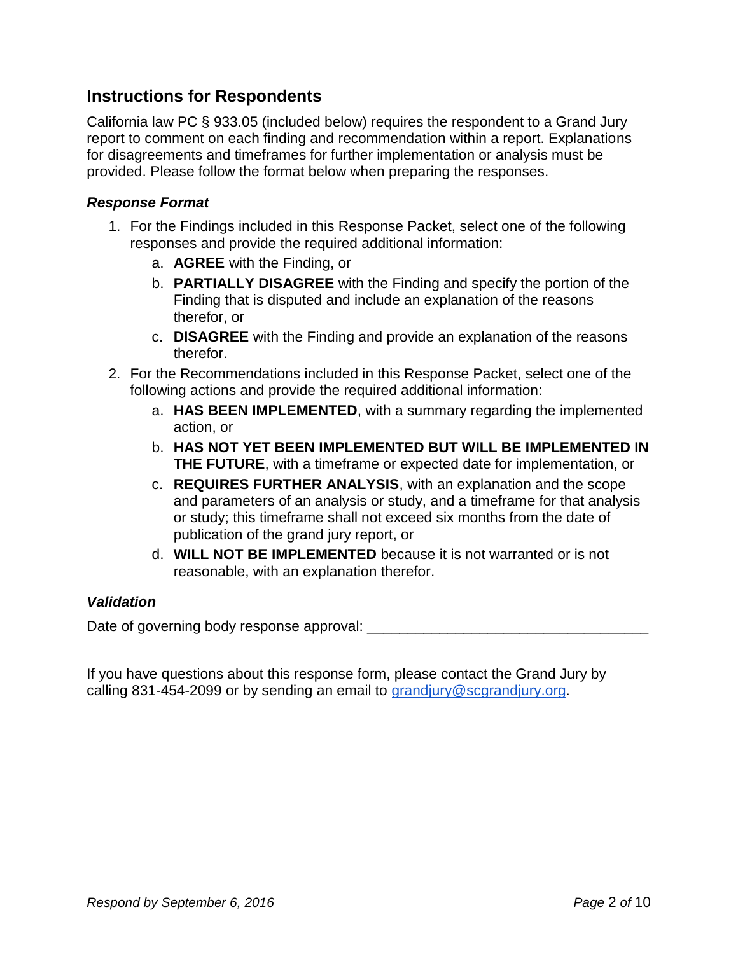#### **Instructions for Respondents**

California law PC § 933.05 (included below) requires the respondent to a Grand Jury report to comment on each finding and recommendation within a report. Explanations for disagreements and timeframes for further implementation or analysis must be provided. Please follow the format below when preparing the responses.

#### *Response Format*

- 1. For the Findings included in this Response Packet, select one of the following responses and provide the required additional information:
	- a. **AGREE** with the Finding, or
	- b. **PARTIALLY DISAGREE** with the Finding and specify the portion of the Finding that is disputed and include an explanation of the reasons therefor, or
	- c. **DISAGREE** with the Finding and provide an explanation of the reasons therefor.
- 2. For the Recommendations included in this Response Packet, select one of the following actions and provide the required additional information:
	- a. **HAS BEEN IMPLEMENTED**, with a summary regarding the implemented action, or
	- b. **HAS NOT YET BEEN IMPLEMENTED BUT WILL BE IMPLEMENTED IN THE FUTURE**, with a timeframe or expected date for implementation, or
	- c. **REQUIRES FURTHER ANALYSIS**, with an explanation and the scope and parameters of an analysis or study, and a timeframe for that analysis or study; this timeframe shall not exceed six months from the date of publication of the grand jury report, or
	- d. **WILL NOT BE IMPLEMENTED** because it is not warranted or is not reasonable, with an explanation therefor.

#### *Validation*

Date of governing body response approval: \_\_\_\_\_\_\_\_\_\_\_\_\_\_\_\_\_\_\_\_\_\_\_\_\_\_\_\_\_\_\_\_\_\_\_

If you have questions about this response form, please contact the Grand Jury by calling 831-454-2099 or by sending an email to [grandjury@scgrandjury.org.](mailto:grandjury@scgrandjury.org)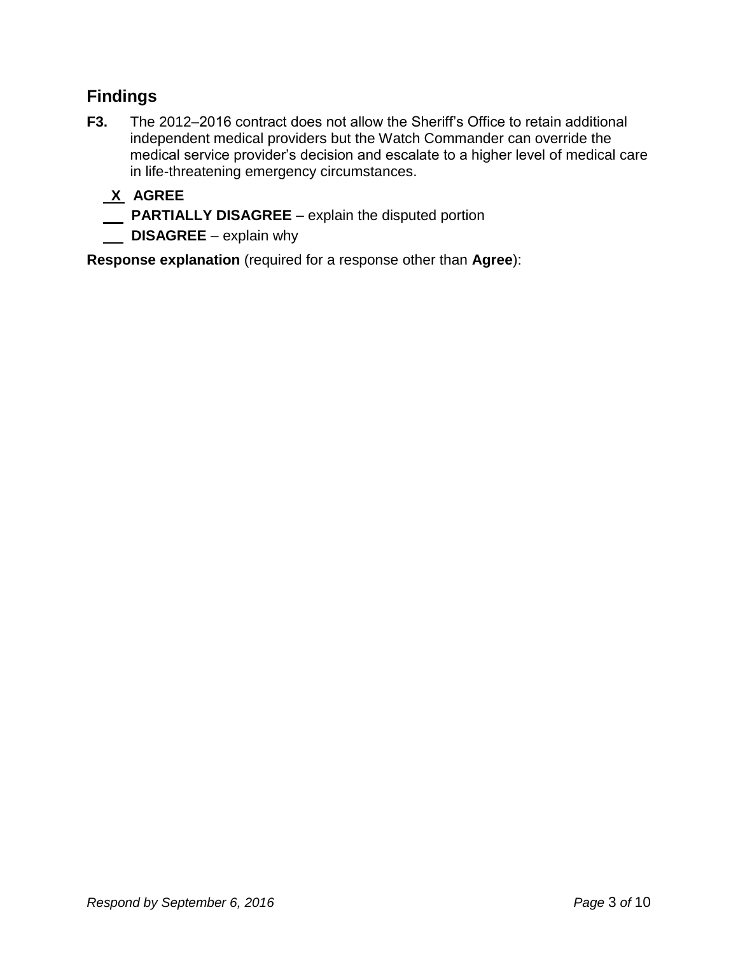#### **Findings**

**F3.** The 2012–2016 contract does not allow the Sheriff's Office to retain additional independent medical providers but the Watch Commander can override the medical service provider's decision and escalate to a higher level of medical care in life-threatening emergency circumstances.

### **X AGREE**

- **PARTIALLY DISAGREE** explain the disputed portion
- **DISAGREE** explain why

**Response explanation** (required for a response other than **Agree**):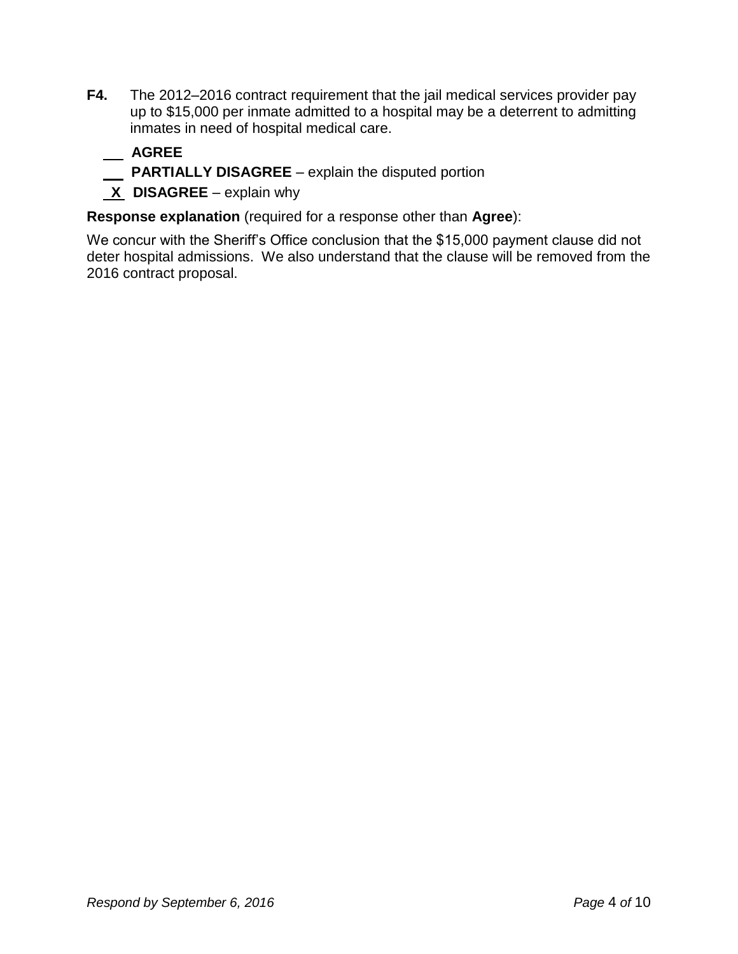**F4.** The 2012–2016 contract requirement that the jail medical services provider pay up to \$15,000 per inmate admitted to a hospital may be a deterrent to admitting inmates in need of hospital medical care.

#### **AGREE**

- **PARTIALLY DISAGREE** explain the disputed portion
- **X DISAGREE** explain why

**Response explanation** (required for a response other than **Agree**):

We concur with the Sheriff's Office conclusion that the \$15,000 payment clause did not deter hospital admissions. We also understand that the clause will be removed from the 2016 contract proposal.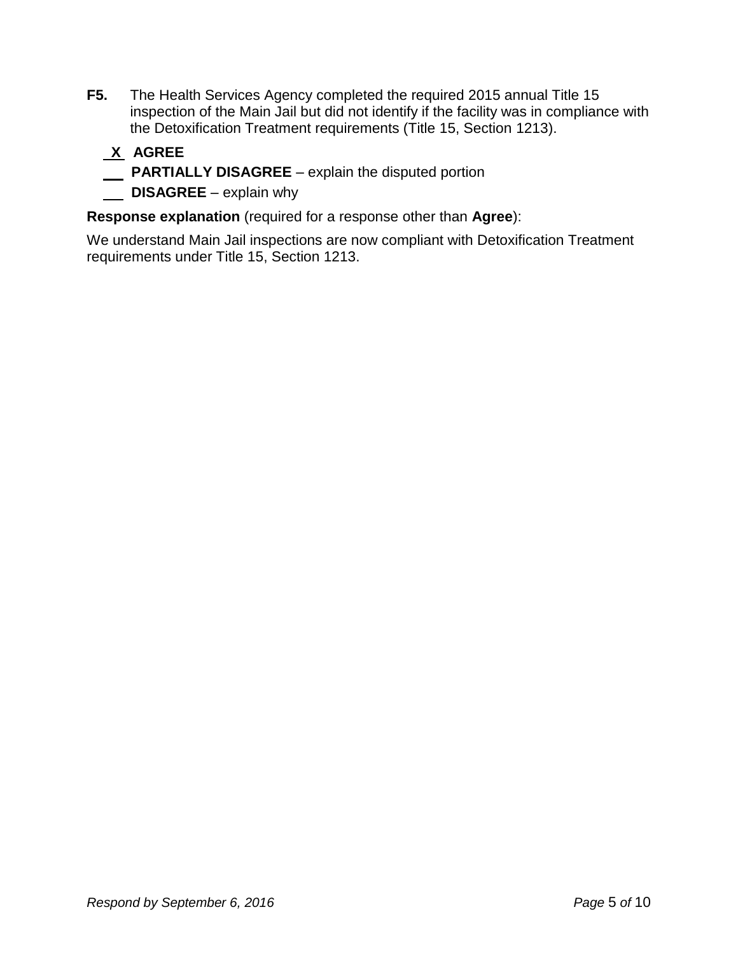**F5.** The Health Services Agency completed the required 2015 annual Title 15 inspection of the Main Jail but did not identify if the facility was in compliance with the Detoxification Treatment requirements (Title 15, Section 1213).

#### **X AGREE PARTIALLY DISAGREE** – explain the disputed portion **DISAGREE** – explain why

**Response explanation** (required for a response other than **Agree**):

We understand Main Jail inspections are now compliant with Detoxification Treatment requirements under Title 15, Section 1213.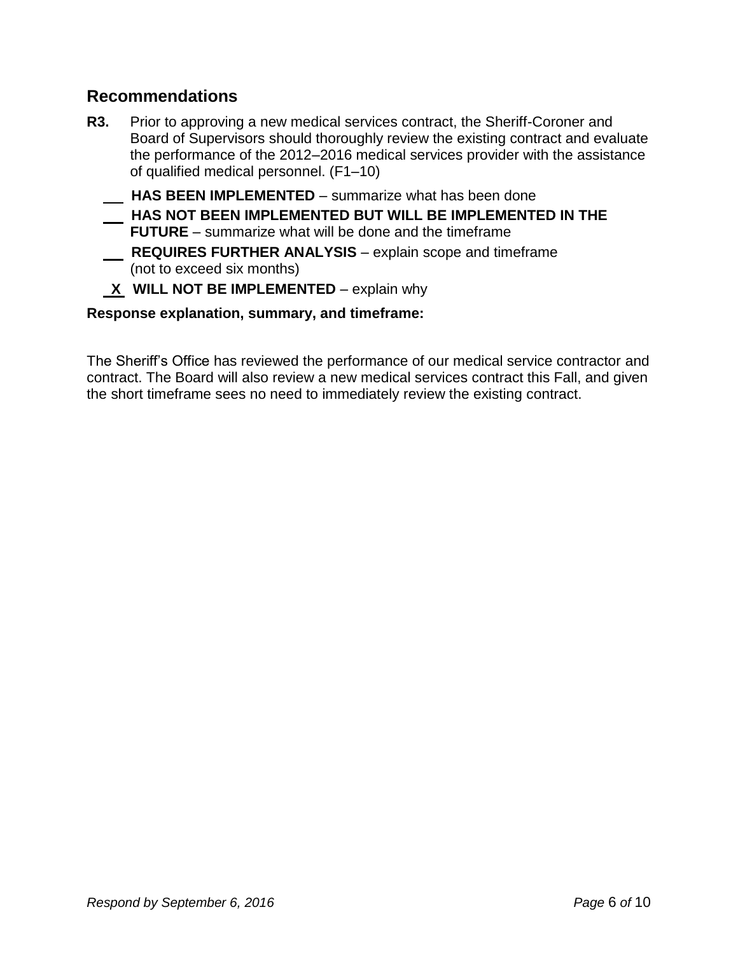#### **Recommendations**

**R3.** Prior to approving a new medical services contract, the Sheriff-Coroner and Board of Supervisors should thoroughly review the existing contract and evaluate the performance of the 2012–2016 medical services provider with the assistance of qualified medical personnel. (F1–10)

 **HAS BEEN IMPLEMENTED** – summarize what has been done

- **HAS NOT BEEN IMPLEMENTED BUT WILL BE IMPLEMENTED IN THE FUTURE** – summarize what will be done and the timeframe  **REQUIRES FURTHER ANALYSIS** – explain scope and timeframe (not to exceed six months)
- **X** WILL NOT BE IMPLEMENTED explain why

**Response explanation, summary, and timeframe:**

The Sheriff's Office has reviewed the performance of our medical service contractor and contract. The Board will also review a new medical services contract this Fall, and given the short timeframe sees no need to immediately review the existing contract.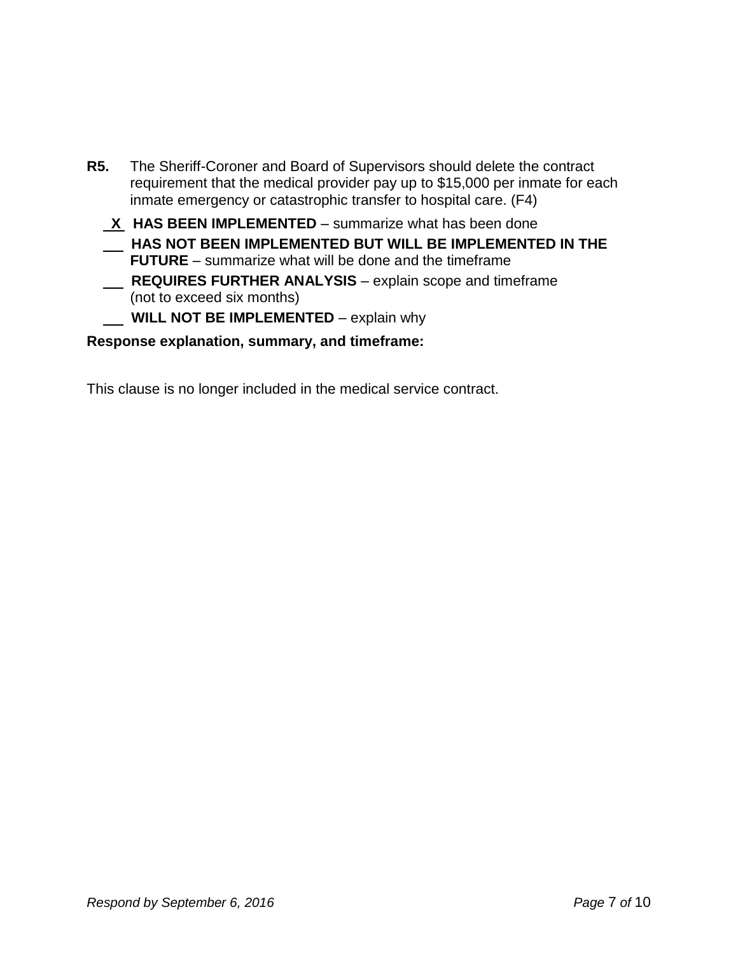- **R5.** The Sheriff-Coroner and Board of Supervisors should delete the contract requirement that the medical provider pay up to \$15,000 per inmate for each inmate emergency or catastrophic transfer to hospital care. (F4)
	- **X HAS BEEN IMPLEMENTED** summarize what has been done  **HAS NOT BEEN IMPLEMENTED BUT WILL BE IMPLEMENTED IN THE FUTURE** – summarize what will be done and the timeframe  **REQUIRES FURTHER ANALYSIS** – explain scope and timeframe (not to exceed six months) **WILL NOT BE IMPLEMENTED** – explain why

#### **Response explanation, summary, and timeframe:**

This clause is no longer included in the medical service contract.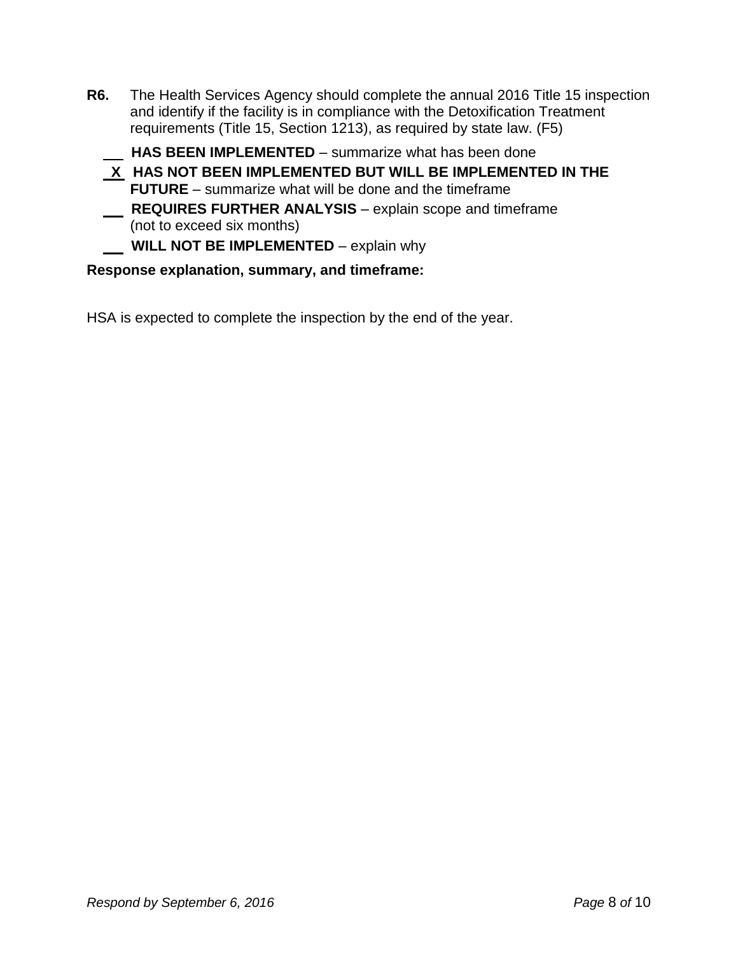**R6.** The Health Services Agency should complete the annual 2016 Title 15 inspection and identify if the facility is in compliance with the Detoxification Treatment requirements (Title 15, Section 1213), as required by state law. (F5)

 **HAS BEEN IMPLEMENTED** – summarize what has been done

 **X HAS NOT BEEN IMPLEMENTED BUT WILL BE IMPLEMENTED IN THE FUTURE** – summarize what will be done and the timeframe  **REQUIRES FURTHER ANALYSIS** – explain scope and timeframe (not to exceed six months)

**WILL NOT BE IMPLEMENTED** – explain why

#### **Response explanation, summary, and timeframe:**

HSA is expected to complete the inspection by the end of the year.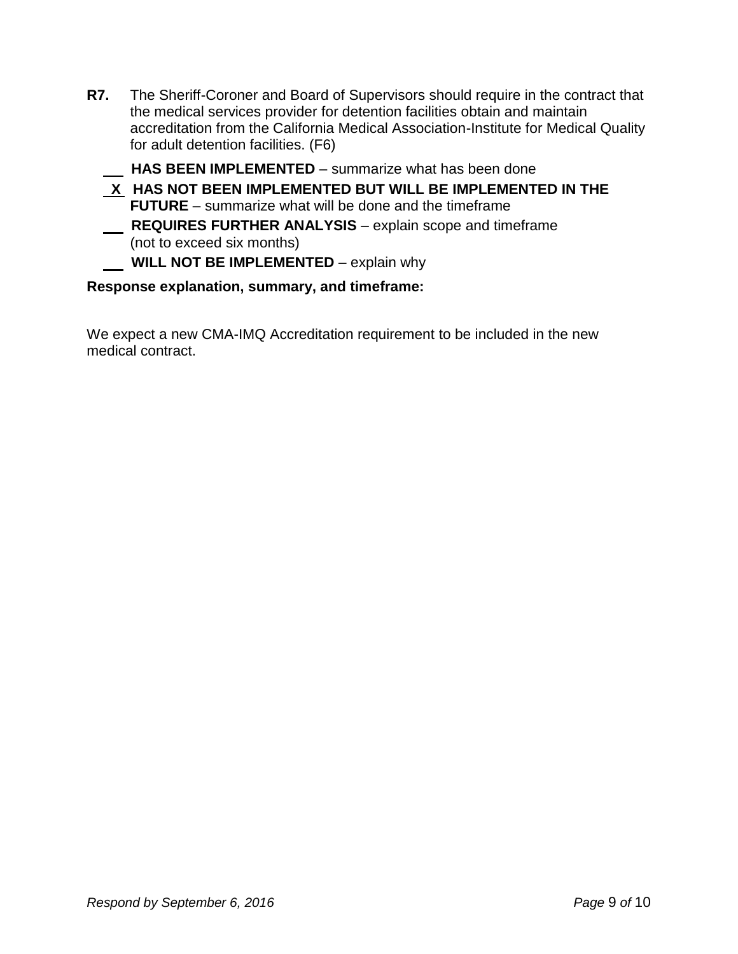- **R7.** The Sheriff-Coroner and Board of Supervisors should require in the contract that the medical services provider for detention facilities obtain and maintain accreditation from the California Medical Association-Institute for Medical Quality for adult detention facilities. (F6)
	- **HAS BEEN IMPLEMENTED**  summarize what has been done
	- **X HAS NOT BEEN IMPLEMENTED BUT WILL BE IMPLEMENTED IN THE FUTURE** – summarize what will be done and the timeframe  **REQUIRES FURTHER ANALYSIS** – explain scope and timeframe (not to exceed six months)

#### **WILL NOT BE IMPLEMENTED** – explain why

#### **Response explanation, summary, and timeframe:**

We expect a new CMA-IMQ Accreditation requirement to be included in the new medical contract.